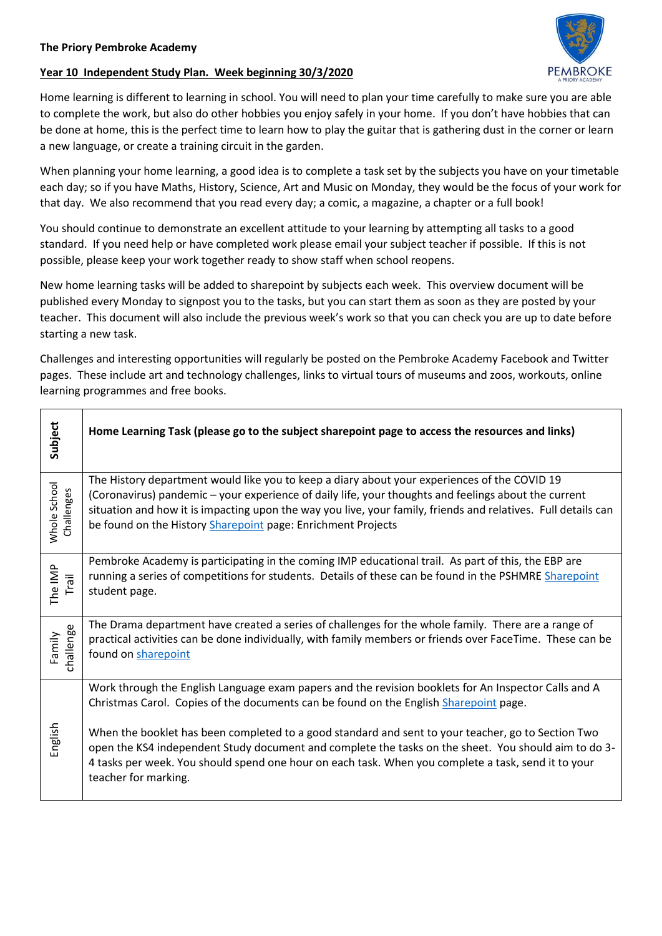## **Year 10 Independent Study Plan. Week beginning 30/3/2020**



Home learning is different to learning in school. You will need to plan your time carefully to make sure you are able to complete the work, but also do other hobbies you enjoy safely in your home. If you don't have hobbies that can be done at home, this is the perfect time to learn how to play the guitar that is gathering dust in the corner or learn a new language, or create a training circuit in the garden.

When planning your home learning, a good idea is to complete a task set by the subjects you have on your timetable each day; so if you have Maths, History, Science, Art and Music on Monday, they would be the focus of your work for that day. We also recommend that you read every day; a comic, a magazine, a chapter or a full book!

You should continue to demonstrate an excellent attitude to your learning by attempting all tasks to a good standard. If you need help or have completed work please email your subject teacher if possible. If this is not possible, please keep your work together ready to show staff when school reopens.

New home learning tasks will be added to sharepoint by subjects each week. This overview document will be published every Monday to signpost you to the tasks, but you can start them as soon as they are posted by your teacher. This document will also include the previous week's work so that you can check you are up to date before starting a new task.

Challenges and interesting opportunities will regularly be posted on the Pembroke Academy Facebook and Twitter pages. These include art and technology challenges, links to virtual tours of museums and zoos, workouts, online learning programmes and free books.

| Subject                    | Home Learning Task (please go to the subject sharepoint page to access the resources and links)                                                                                                                                                                                                                                                                                                                                                                                                                                            |
|----------------------------|--------------------------------------------------------------------------------------------------------------------------------------------------------------------------------------------------------------------------------------------------------------------------------------------------------------------------------------------------------------------------------------------------------------------------------------------------------------------------------------------------------------------------------------------|
| Whole School<br>Challenges | The History department would like you to keep a diary about your experiences of the COVID 19<br>(Coronavirus) pandemic - your experience of daily life, your thoughts and feelings about the current<br>situation and how it is impacting upon the way you live, your family, friends and relatives. Full details can<br>be found on the History Sharepoint page: Enrichment Projects                                                                                                                                                      |
| The IMP<br>Trail           | Pembroke Academy is participating in the coming IMP educational trail. As part of this, the EBP are<br>running a series of competitions for students. Details of these can be found in the PSHMRE Sharepoint<br>student page.                                                                                                                                                                                                                                                                                                              |
| challenge<br>Family        | The Drama department have created a series of challenges for the whole family. There are a range of<br>practical activities can be done individually, with family members or friends over FaceTime. These can be<br>found on sharepoint                                                                                                                                                                                                                                                                                                    |
| English                    | Work through the English Language exam papers and the revision booklets for An Inspector Calls and A<br>Christmas Carol. Copies of the documents can be found on the English Sharepoint page.<br>When the booklet has been completed to a good standard and sent to your teacher, go to Section Two<br>open the KS4 independent Study document and complete the tasks on the sheet. You should aim to do 3-<br>4 tasks per week. You should spend one hour on each task. When you complete a task, send it to your<br>teacher for marking. |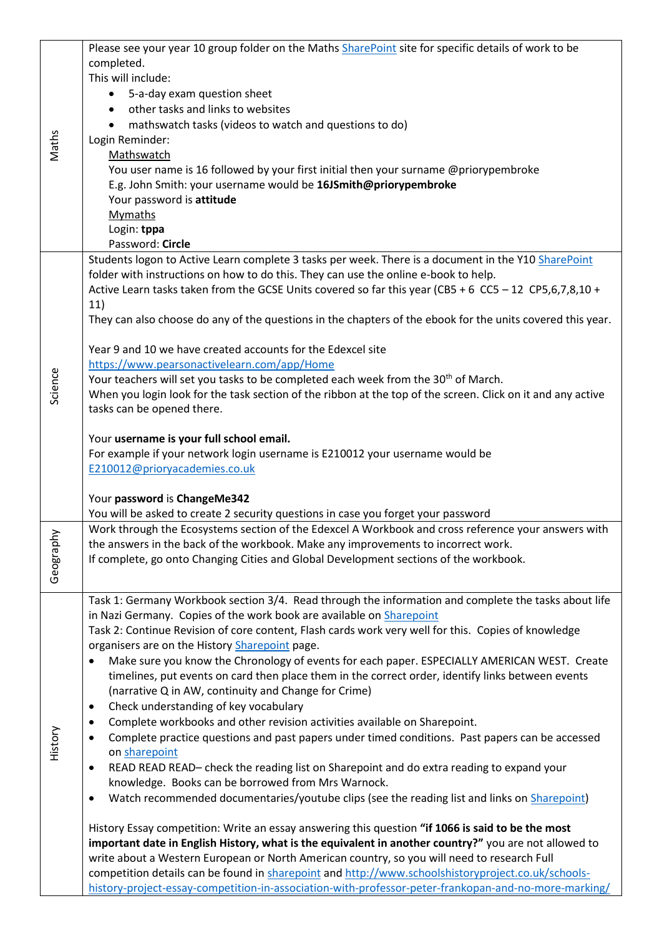|         | Please see your year 10 group folder on the Maths SharePoint site for specific details of work to be        |
|---------|-------------------------------------------------------------------------------------------------------------|
|         | completed.                                                                                                  |
|         | This will include:                                                                                          |
|         | 5-a-day exam question sheet<br>$\bullet$                                                                    |
|         | other tasks and links to websites                                                                           |
|         | mathswatch tasks (videos to watch and questions to do)                                                      |
| Maths   | Login Reminder:                                                                                             |
|         | Mathswatch                                                                                                  |
|         | You user name is 16 followed by your first initial then your surname @priorypembroke                        |
|         | E.g. John Smith: your username would be 16JSmith@priorypembroke                                             |
|         | Your password is attitude                                                                                   |
|         | <b>Mymaths</b>                                                                                              |
|         | Login: tppa                                                                                                 |
|         | Password: Circle                                                                                            |
|         | Students logon to Active Learn complete 3 tasks per week. There is a document in the Y10 SharePoint         |
|         | folder with instructions on how to do this. They can use the online e-book to help.                         |
|         | Active Learn tasks taken from the GCSE Units covered so far this year (CB5 + 6 CC5 - 12 CP5,6,7,8,10 +      |
|         | 11)                                                                                                         |
|         | They can also choose do any of the questions in the chapters of the ebook for the units covered this year.  |
|         |                                                                                                             |
|         | Year 9 and 10 we have created accounts for the Edexcel site                                                 |
|         | https://www.pearsonactivelearn.com/app/Home                                                                 |
| Science | Your teachers will set you tasks to be completed each week from the 30 <sup>th</sup> of March.              |
|         | When you login look for the task section of the ribbon at the top of the screen. Click on it and any active |
|         | tasks can be opened there.                                                                                  |
|         |                                                                                                             |
|         | Your username is your full school email.                                                                    |
|         | For example if your network login username is E210012 your username would be                                |
|         | E210012@prioryacademies.co.uk                                                                               |
|         |                                                                                                             |
|         | Your password is ChangeMe342                                                                                |
|         | You will be asked to create 2 security questions in case you forget your password                           |
|         | Work through the Ecosystems section of the Edexcel A Workbook and cross reference your answers with         |
| 슬       | the answers in the back of the workbook. Make any improvements to incorrect work.                           |
|         | If complete, go onto Changing Cities and Global Development sections of the workbook.                       |
| Geograp |                                                                                                             |
|         |                                                                                                             |
|         | Task 1: Germany Workbook section 3/4. Read through the information and complete the tasks about life        |
|         | in Nazi Germany. Copies of the work book are available on Sharepoint                                        |
|         | Task 2: Continue Revision of core content, Flash cards work very well for this. Copies of knowledge         |
|         | organisers are on the History Sharepoint page.                                                              |
|         | Make sure you know the Chronology of events for each paper. ESPECIALLY AMERICAN WEST. Create<br>$\bullet$   |
|         | timelines, put events on card then place them in the correct order, identify links between events           |
|         | (narrative Q in AW, continuity and Change for Crime)                                                        |
|         | Check understanding of key vocabulary<br>٠                                                                  |
|         | Complete workbooks and other revision activities available on Sharepoint.<br>٠                              |
| History | Complete practice questions and past papers under timed conditions. Past papers can be accessed<br>٠        |
|         | on sharepoint                                                                                               |
|         | READ READ READ- check the reading list on Sharepoint and do extra reading to expand your<br>$\bullet$       |
|         | knowledge. Books can be borrowed from Mrs Warnock.                                                          |
|         | Watch recommended documentaries/youtube clips (see the reading list and links on Sharepoint)<br>$\bullet$   |
|         |                                                                                                             |
|         | History Essay competition: Write an essay answering this question "if 1066 is said to be the most           |
|         | important date in English History, what is the equivalent in another country?" you are not allowed to       |
|         | write about a Western European or North American country, so you will need to research Full                 |
|         | competition details can be found in sharepoint and http://www.schoolshistoryproject.co.uk/schools-          |
|         | history-project-essay-competition-in-association-with-professor-peter-frankopan-and-no-more-marking/        |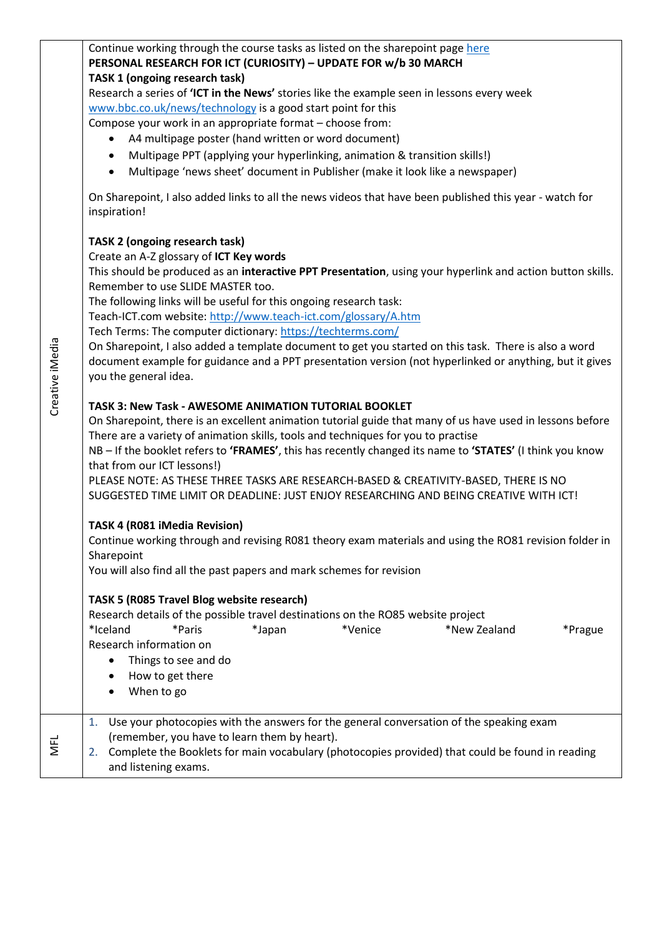| Creative iMedia | Continue working through the course tasks as listed on the sharepoint page here<br>PERSONAL RESEARCH FOR ICT (CURIOSITY) - UPDATE FOR w/b 30 MARCH<br>TASK 1 (ongoing research task)<br>Research a series of 'ICT in the News' stories like the example seen in lessons every week<br>www.bbc.co.uk/news/technology is a good start point for this<br>Compose your work in an appropriate format - choose from:<br>A4 multipage poster (hand written or word document)<br>Multipage PPT (applying your hyperlinking, animation & transition skills!)<br>$\bullet$<br>Multipage 'news sheet' document in Publisher (make it look like a newspaper)<br>$\bullet$<br>On Sharepoint, I also added links to all the news videos that have been published this year - watch for<br>inspiration!<br><b>TASK 2 (ongoing research task)</b><br>Create an A-Z glossary of ICT Key words<br>This should be produced as an interactive PPT Presentation, using your hyperlink and action button skills.<br>Remember to use SLIDE MASTER too.<br>The following links will be useful for this ongoing research task:<br>Teach-ICT.com website: http://www.teach-ict.com/glossary/A.htm |
|-----------------|--------------------------------------------------------------------------------------------------------------------------------------------------------------------------------------------------------------------------------------------------------------------------------------------------------------------------------------------------------------------------------------------------------------------------------------------------------------------------------------------------------------------------------------------------------------------------------------------------------------------------------------------------------------------------------------------------------------------------------------------------------------------------------------------------------------------------------------------------------------------------------------------------------------------------------------------------------------------------------------------------------------------------------------------------------------------------------------------------------------------------------------------------------------------------|
|                 | Tech Terms: The computer dictionary: https://techterms.com/<br>On Sharepoint, I also added a template document to get you started on this task. There is also a word<br>document example for guidance and a PPT presentation version (not hyperlinked or anything, but it gives<br>you the general idea.                                                                                                                                                                                                                                                                                                                                                                                                                                                                                                                                                                                                                                                                                                                                                                                                                                                                 |
|                 | TASK 3: New Task - AWESOME ANIMATION TUTORIAL BOOKLET<br>On Sharepoint, there is an excellent animation tutorial guide that many of us have used in lessons before<br>There are a variety of animation skills, tools and techniques for you to practise<br>NB - If the booklet refers to 'FRAMES', this has recently changed its name to 'STATES' (I think you know<br>that from our ICT lessons!)<br>PLEASE NOTE: AS THESE THREE TASKS ARE RESEARCH-BASED & CREATIVITY-BASED, THERE IS NO<br>SUGGESTED TIME LIMIT OR DEADLINE: JUST ENJOY RESEARCHING AND BEING CREATIVE WITH ICT!                                                                                                                                                                                                                                                                                                                                                                                                                                                                                                                                                                                      |
|                 | TASK 4 (R081 iMedia Revision)<br>Continue working through and revising R081 theory exam materials and using the RO81 revision folder in<br>Sharepoint<br>You will also find all the past papers and mark schemes for revision                                                                                                                                                                                                                                                                                                                                                                                                                                                                                                                                                                                                                                                                                                                                                                                                                                                                                                                                            |
|                 | TASK 5 (R085 Travel Blog website research)<br>Research details of the possible travel destinations on the RO85 website project<br>*Iceland<br>*Paris<br>*Japan<br>*Venice<br>*New Zealand<br>*Prague<br>Research information on<br>Things to see and do<br>How to get there<br>When to go                                                                                                                                                                                                                                                                                                                                                                                                                                                                                                                                                                                                                                                                                                                                                                                                                                                                                |
| <b>NFL</b>      | Use your photocopies with the answers for the general conversation of the speaking exam<br>1.<br>(remember, you have to learn them by heart).<br>Complete the Booklets for main vocabulary (photocopies provided) that could be found in reading<br>2.<br>and listening exams.                                                                                                                                                                                                                                                                                                                                                                                                                                                                                                                                                                                                                                                                                                                                                                                                                                                                                           |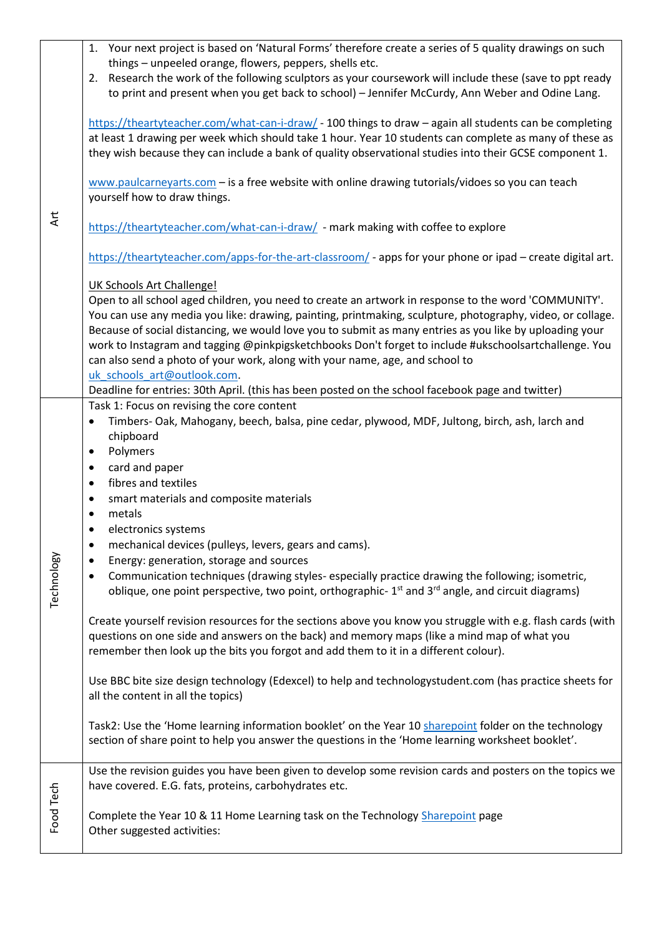|            | 1. Your next project is based on 'Natural Forms' therefore create a series of 5 quality drawings on such<br>things - unpeeled orange, flowers, peppers, shells etc.                                                                                                                                                                                                                                                                                                                                                    |
|------------|------------------------------------------------------------------------------------------------------------------------------------------------------------------------------------------------------------------------------------------------------------------------------------------------------------------------------------------------------------------------------------------------------------------------------------------------------------------------------------------------------------------------|
|            | 2. Research the work of the following sculptors as your coursework will include these (save to ppt ready                                                                                                                                                                                                                                                                                                                                                                                                               |
| Art        | to print and present when you get back to school) - Jennifer McCurdy, Ann Weber and Odine Lang.                                                                                                                                                                                                                                                                                                                                                                                                                        |
|            | https://theartyteacher.com/what-can-i-draw/ - 100 things to draw - again all students can be completing<br>at least 1 drawing per week which should take 1 hour. Year 10 students can complete as many of these as<br>they wish because they can include a bank of quality observational studies into their GCSE component 1.                                                                                                                                                                                          |
|            | www.paulcarneyarts.com $-$ is a free website with online drawing tutorials/vidoes so you can teach<br>yourself how to draw things.                                                                                                                                                                                                                                                                                                                                                                                     |
|            | https://theartyteacher.com/what-can-i-draw/ - mark making with coffee to explore                                                                                                                                                                                                                                                                                                                                                                                                                                       |
|            | https://theartyteacher.com/apps-for-the-art-classroom/ - apps for your phone or ipad - create digital art.                                                                                                                                                                                                                                                                                                                                                                                                             |
|            | <b>UK Schools Art Challenge!</b>                                                                                                                                                                                                                                                                                                                                                                                                                                                                                       |
|            | Open to all school aged children, you need to create an artwork in response to the word 'COMMUNITY'.<br>You can use any media you like: drawing, painting, printmaking, sculpture, photography, video, or collage.<br>Because of social distancing, we would love you to submit as many entries as you like by uploading your<br>work to Instagram and tagging @pinkpigsketchbooks Don't forget to include #ukschoolsartchallenge. You<br>can also send a photo of your work, along with your name, age, and school to |
|            | uk schools art@outlook.com.<br>Deadline for entries: 30th April. (this has been posted on the school facebook page and twitter)                                                                                                                                                                                                                                                                                                                                                                                        |
|            | Task 1: Focus on revising the core content                                                                                                                                                                                                                                                                                                                                                                                                                                                                             |
|            | Timbers- Oak, Mahogany, beech, balsa, pine cedar, plywood, MDF, Jultong, birch, ash, larch and<br>$\bullet$<br>chipboard<br>Polymers<br>$\bullet$                                                                                                                                                                                                                                                                                                                                                                      |
|            | card and paper<br>$\bullet$                                                                                                                                                                                                                                                                                                                                                                                                                                                                                            |
|            | fibres and textiles<br>$\bullet$                                                                                                                                                                                                                                                                                                                                                                                                                                                                                       |
|            | smart materials and composite materials<br>$\bullet$<br>metals<br>$\bullet$                                                                                                                                                                                                                                                                                                                                                                                                                                            |
|            | electronics systems<br>$\bullet$                                                                                                                                                                                                                                                                                                                                                                                                                                                                                       |
|            | mechanical devices (pulleys, levers, gears and cams).<br>$\bullet$                                                                                                                                                                                                                                                                                                                                                                                                                                                     |
|            | Energy: generation, storage and sources                                                                                                                                                                                                                                                                                                                                                                                                                                                                                |
| Technology | Communication techniques (drawing styles- especially practice drawing the following; isometric,<br>$\bullet$<br>oblique, one point perspective, two point, orthographic- 1 <sup>st</sup> and 3 <sup>rd</sup> angle, and circuit diagrams)                                                                                                                                                                                                                                                                              |
|            | Create yourself revision resources for the sections above you know you struggle with e.g. flash cards (with<br>questions on one side and answers on the back) and memory maps (like a mind map of what you<br>remember then look up the bits you forgot and add them to it in a different colour).                                                                                                                                                                                                                     |
|            | Use BBC bite size design technology (Edexcel) to help and technologystudent.com (has practice sheets for<br>all the content in all the topics)                                                                                                                                                                                                                                                                                                                                                                         |
|            | Task2: Use the 'Home learning information booklet' on the Year 10 sharepoint folder on the technology<br>section of share point to help you answer the questions in the 'Home learning worksheet booklet'.                                                                                                                                                                                                                                                                                                             |
|            | Use the revision guides you have been given to develop some revision cards and posters on the topics we<br>have covered. E.G. fats, proteins, carbohydrates etc.                                                                                                                                                                                                                                                                                                                                                       |
| Food Tech  | Complete the Year 10 & 11 Home Learning task on the Technology Sharepoint page<br>Other suggested activities:                                                                                                                                                                                                                                                                                                                                                                                                          |